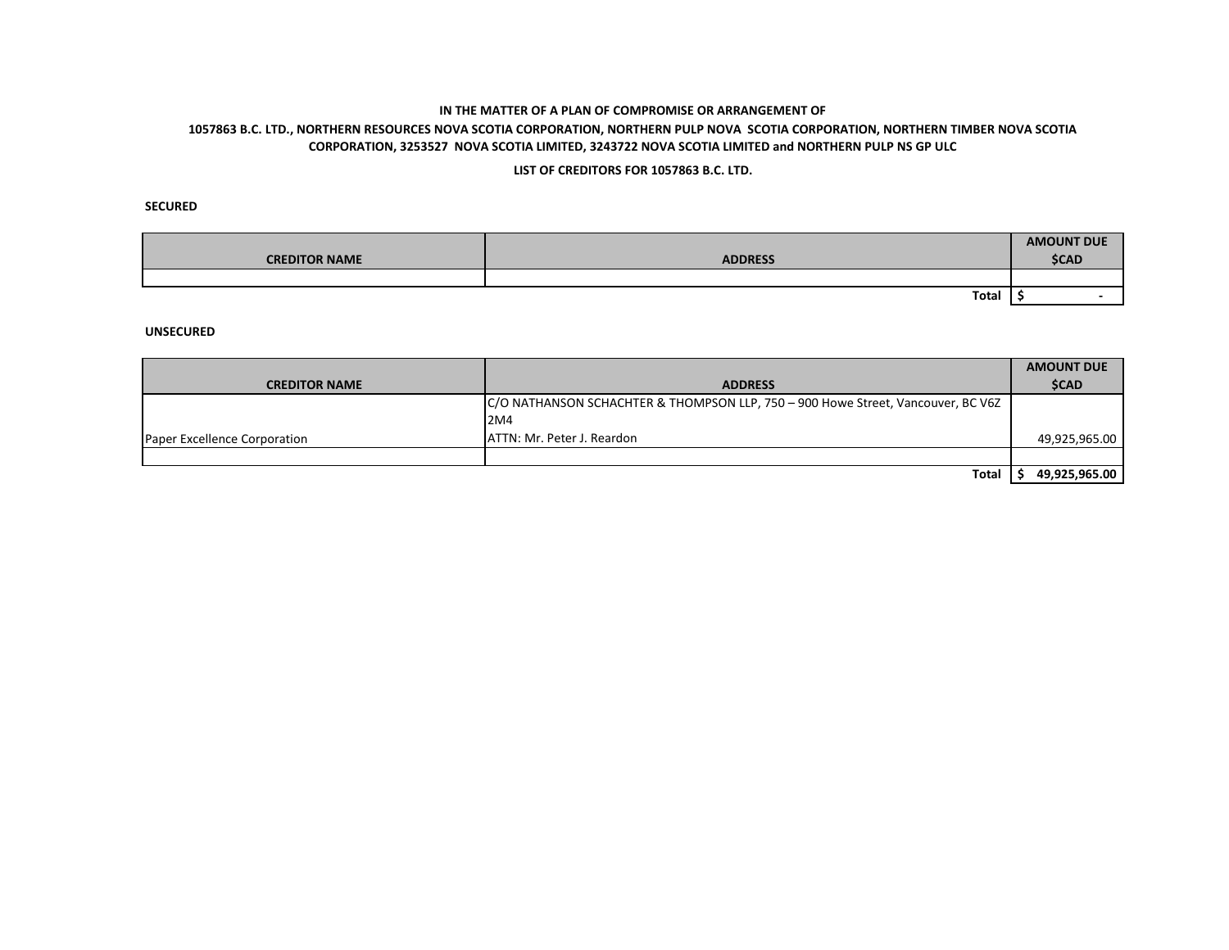## **1057863 B.C. LTD., NORTHERN RESOURCES NOVA SCOTIA CORPORATION, NORTHERN PULP NOVA SCOTIA CORPORATION, NORTHERN TIMBER NOVA SCOTIA CORPORATION, 3253527 NOVA SCOTIA LIMITED, 3243722 NOVA SCOTIA LIMITED and NORTHERN PULP NS GP ULC**

### **LIST OF CREDITORS FOR 1057863 B.C. LTD.**

### **SECURED**

| <b>CREDITOR NAME</b> | <b>ADDRESS</b> | <b>AMOUNT DUE</b><br><b>\$CAD</b> |
|----------------------|----------------|-----------------------------------|
|                      |                |                                   |
|                      | <b>Total</b>   |                                   |

|                              |                                                                                  | <b>AMOUNT DUE</b> |
|------------------------------|----------------------------------------------------------------------------------|-------------------|
| <b>CREDITOR NAME</b>         | <b>ADDRESS</b>                                                                   | <b>\$CAD</b>      |
|                              | C/O NATHANSON SCHACHTER & THOMPSON LLP, 750 - 900 Howe Street, Vancouver, BC V6Z |                   |
|                              | 2M4                                                                              |                   |
| Paper Excellence Corporation | ATTN: Mr. Peter J. Reardon                                                       | 49,925,965.00     |
|                              |                                                                                  |                   |
|                              | Total                                                                            | 49,925,965.00     |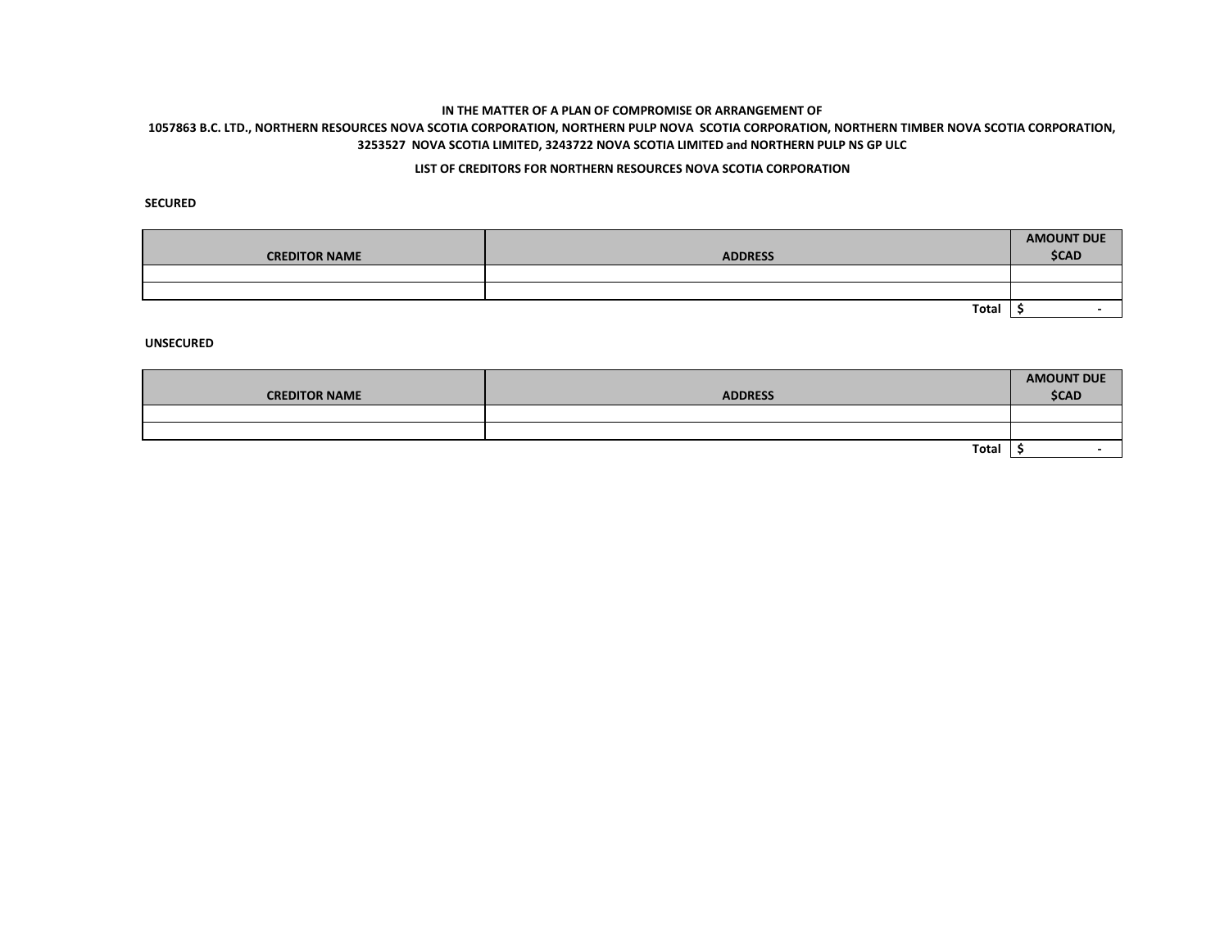# **1057863 B.C. LTD., NORTHERN RESOURCES NOVA SCOTIA CORPORATION, NORTHERN PULP NOVA SCOTIA CORPORATION, NORTHERN TIMBER NOVA SCOTIA CORPORATION, 3253527 NOVA SCOTIA LIMITED, 3243722 NOVA SCOTIA LIMITED and NORTHERN PULP NS GP ULC**

## **LIST OF CREDITORS FOR NORTHERN RESOURCES NOVA SCOTIA CORPORATION**

**SECURED**

| <b>CREDITOR NAME</b> | <b>ADDRESS</b> | <b>AMOUNT DUE</b><br><b>\$CAD</b> |
|----------------------|----------------|-----------------------------------|
|                      |                |                                   |
|                      |                |                                   |
|                      | Total          |                                   |

|                      |                | <b>AMOUNT DUE</b> |
|----------------------|----------------|-------------------|
| <b>CREDITOR NAME</b> | <b>ADDRESS</b> | <b>\$CAD</b>      |
|                      |                |                   |
|                      |                |                   |
|                      | <b>Total</b>   |                   |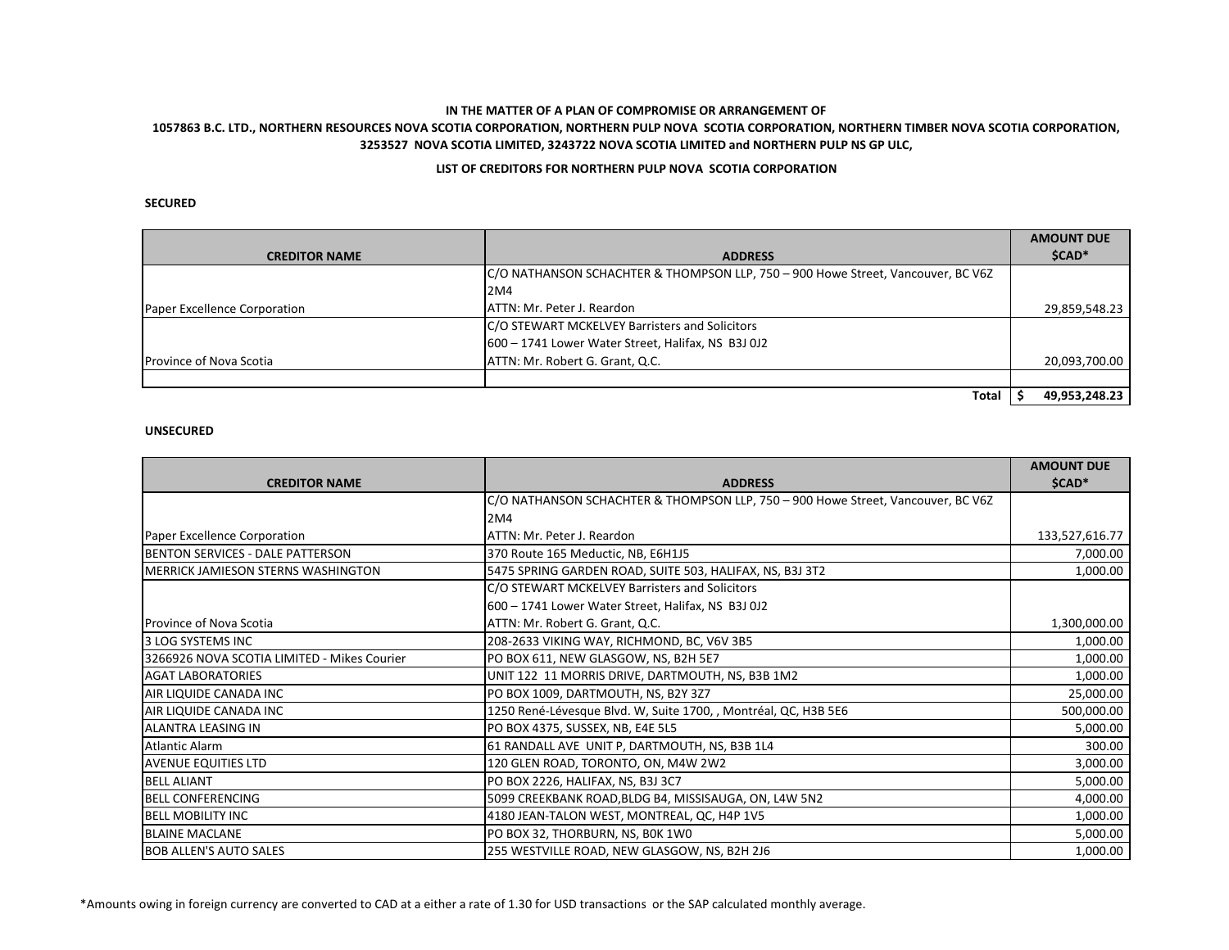## **1057863 B.C. LTD., NORTHERN RESOURCES NOVA SCOTIA CORPORATION, NORTHERN PULP NOVA SCOTIA CORPORATION, NORTHERN TIMBER NOVA SCOTIA CORPORATION, 3253527 NOVA SCOTIA LIMITED, 3243722 NOVA SCOTIA LIMITED and NORTHERN PULP NS GP ULC,**

### **LIST OF CREDITORS FOR NORTHERN PULP NOVA SCOTIA CORPORATION**

### **SECURED**

|                                |                                                                                  | <b>AMOUNT DUE</b> |
|--------------------------------|----------------------------------------------------------------------------------|-------------------|
| <b>CREDITOR NAME</b>           | <b>ADDRESS</b>                                                                   | \$CAD*            |
|                                | C/O NATHANSON SCHACHTER & THOMPSON LLP, 750 - 900 Howe Street, Vancouver, BC V6Z |                   |
|                                | I2M4                                                                             |                   |
| Paper Excellence Corporation   | IATTN: Mr. Peter J. Reardon                                                      | 29,859,548.23     |
|                                | C/O STEWART MCKELVEY Barristers and Solicitors                                   |                   |
|                                | 600 - 1741 Lower Water Street, Halifax, NS B3J 0J2                               |                   |
| <b>Province of Nova Scotia</b> | ATTN: Mr. Robert G. Grant, Q.C.                                                  | 20,093,700.00     |
|                                |                                                                                  |                   |
|                                | Total                                                                            | 49,953,248.23     |

#### **UNSECURED**

|                                             |                                                                                  | <b>AMOUNT DUE</b> |
|---------------------------------------------|----------------------------------------------------------------------------------|-------------------|
| <b>CREDITOR NAME</b>                        | <b>ADDRESS</b>                                                                   | \$CAD*            |
|                                             | C/O NATHANSON SCHACHTER & THOMPSON LLP, 750 - 900 Howe Street, Vancouver, BC V6Z |                   |
|                                             | 2M4                                                                              |                   |
| Paper Excellence Corporation                | ATTN: Mr. Peter J. Reardon                                                       | 133,527,616.77    |
| <b>BENTON SERVICES - DALE PATTERSON</b>     | 370 Route 165 Meductic, NB, E6H1J5                                               | 7,000.00          |
| <b>MERRICK JAMIESON STERNS WASHINGTON</b>   | 5475 SPRING GARDEN ROAD, SUITE 503, HALIFAX, NS, B3J 3T2                         | 1,000.00          |
|                                             | C/O STEWART MCKELVEY Barristers and Solicitors                                   |                   |
|                                             | 600 - 1741 Lower Water Street, Halifax, NS B3J 0J2                               |                   |
| Province of Nova Scotia                     | ATTN: Mr. Robert G. Grant, Q.C.                                                  | 1,300,000.00      |
| l3 LOG SYSTEMS INC                          | 208-2633 VIKING WAY, RICHMOND, BC, V6V 3B5                                       | 1,000.00          |
| 3266926 NOVA SCOTIA LIMITED - Mikes Courier | PO BOX 611, NEW GLASGOW, NS, B2H 5E7                                             | 1,000.00          |
| <b>AGAT LABORATORIES</b>                    | UNIT 122 11 MORRIS DRIVE, DARTMOUTH, NS, B3B 1M2                                 | 1,000.00          |
| AIR LIQUIDE CANADA INC                      | PO BOX 1009, DARTMOUTH, NS, B2Y 3Z7                                              | 25,000.00         |
| AIR LIQUIDE CANADA INC                      | 1250 René-Lévesque Blvd. W, Suite 1700, , Montréal, QC, H3B 5E6                  | 500,000.00        |
| ALANTRA LEASING IN                          | PO BOX 4375, SUSSEX, NB, E4E 5L5                                                 | 5,000.00          |
| Atlantic Alarm                              | 61 RANDALL AVE UNIT P, DARTMOUTH, NS, B3B 1L4                                    | 300.00            |
| <b>AVENUE EQUITIES LTD</b>                  | 120 GLEN ROAD, TORONTO, ON, M4W 2W2                                              | 3,000.00          |
| <b>BELL ALIANT</b>                          | PO BOX 2226, HALIFAX, NS, B3J 3C7                                                | 5,000.00          |
| <b>BELL CONFERENCING</b>                    | 5099 CREEKBANK ROAD, BLDG B4, MISSISAUGA, ON, L4W 5N2                            | 4,000.00          |
| <b>BELL MOBILITY INC</b>                    | 4180 JEAN-TALON WEST, MONTREAL, QC, H4P 1V5                                      | 1,000.00          |
| <b>BLAINE MACLANE</b>                       | PO BOX 32, THORBURN, NS, BOK 1WO                                                 | 5,000.00          |
| <b>BOB ALLEN'S AUTO SALES</b>               | 255 WESTVILLE ROAD, NEW GLASGOW, NS, B2H 2J6                                     | 1,000.00          |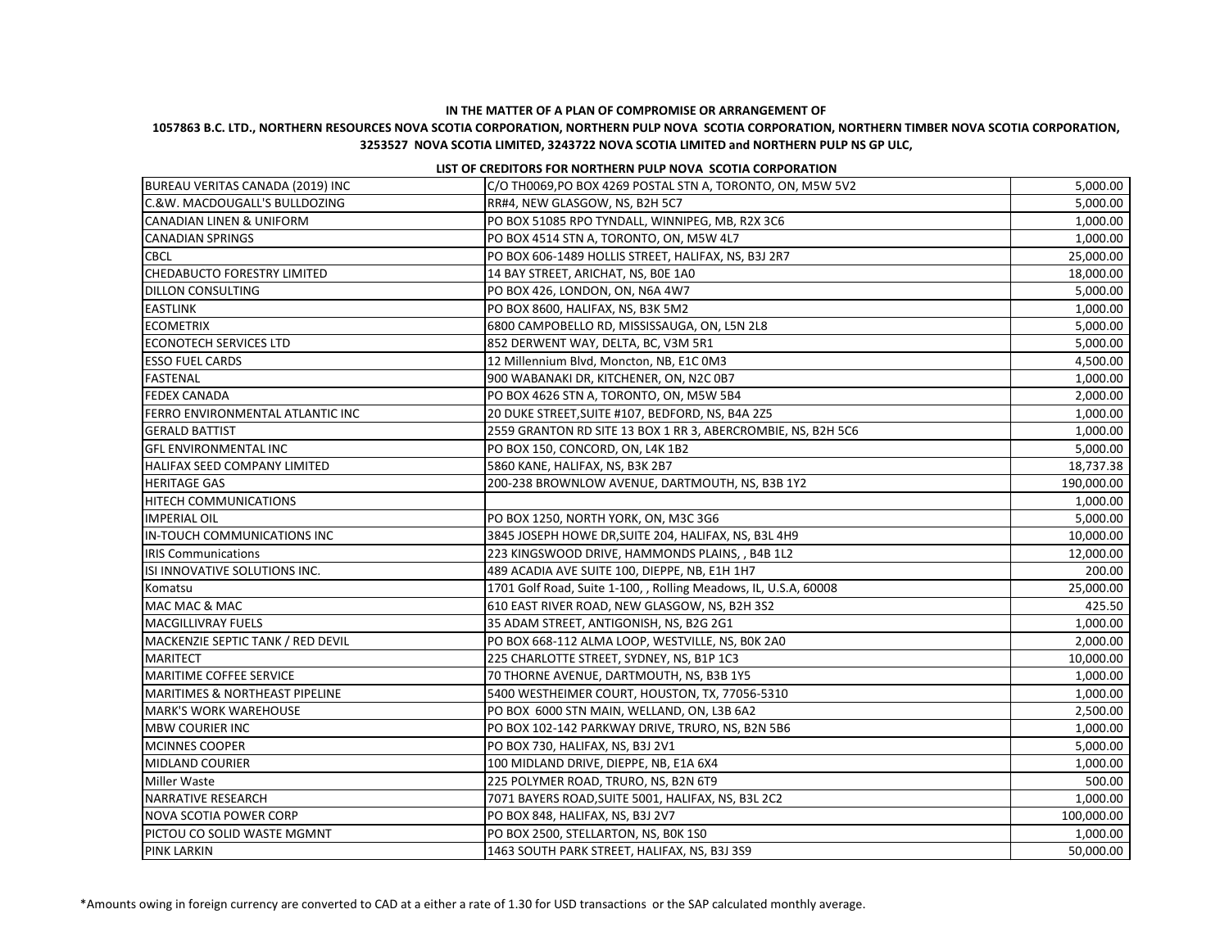## **1057863 B.C. LTD., NORTHERN RESOURCES NOVA SCOTIA CORPORATION, NORTHERN PULP NOVA SCOTIA CORPORATION, NORTHERN TIMBER NOVA SCOTIA CORPORATION, 3253527 NOVA SCOTIA LIMITED, 3243722 NOVA SCOTIA LIMITED and NORTHERN PULP NS GP ULC,**

#### **LIST OF CREDITORS FOR NORTHERN PULP NOVA SCOTIA CORPORATION**

| BUREAU VERITAS CANADA (2019) INC          | C/O TH0069,PO BOX 4269 POSTAL STN A, TORONTO, ON, M5W 5V2        | 5,000.00   |
|-------------------------------------------|------------------------------------------------------------------|------------|
| C.&W. MACDOUGALL'S BULLDOZING             | RR#4, NEW GLASGOW, NS, B2H 5C7                                   | 5,000.00   |
| <b>CANADIAN LINEN &amp; UNIFORM</b>       | PO BOX 51085 RPO TYNDALL, WINNIPEG, MB, R2X 3C6                  | 1,000.00   |
| <b>CANADIAN SPRINGS</b>                   | PO BOX 4514 STN A, TORONTO, ON, M5W 4L7                          | 1,000.00   |
| <b>CBCL</b>                               | PO BOX 606-1489 HOLLIS STREET, HALIFAX, NS, B3J 2R7              | 25,000.00  |
| <b>CHEDABUCTO FORESTRY LIMITED</b>        | 14 BAY STREET, ARICHAT, NS, BOE 1AO                              | 18,000.00  |
| <b>DILLON CONSULTING</b>                  | PO BOX 426, LONDON, ON, N6A 4W7                                  | 5,000.00   |
| <b>EASTLINK</b>                           | PO BOX 8600, HALIFAX, NS, B3K 5M2                                | 1,000.00   |
| <b>ECOMETRIX</b>                          | 6800 CAMPOBELLO RD, MISSISSAUGA, ON, L5N 2L8                     | 5,000.00   |
| <b>ECONOTECH SERVICES LTD</b>             | 852 DERWENT WAY, DELTA, BC, V3M 5R1                              | 5,000.00   |
| <b>ESSO FUEL CARDS</b>                    | 12 Millennium Blvd, Moncton, NB, E1C 0M3                         | 4,500.00   |
| FASTENAL                                  | 900 WABANAKI DR, KITCHENER, ON, N2C 0B7                          | 1,000.00   |
| <b>FEDEX CANADA</b>                       | PO BOX 4626 STN A, TORONTO, ON, M5W 5B4                          | 2,000.00   |
| FERRO ENVIRONMENTAL ATLANTIC INC          | 20 DUKE STREET, SUITE #107, BEDFORD, NS, B4A 2Z5                 | 1,000.00   |
| <b>GERALD BATTIST</b>                     | 2559 GRANTON RD SITE 13 BOX 1 RR 3, ABERCROMBIE, NS, B2H 5C6     | 1,000.00   |
| <b>GFL ENVIRONMENTAL INC</b>              | PO BOX 150, CONCORD, ON, L4K 1B2                                 | 5,000.00   |
| HALIFAX SEED COMPANY LIMITED              | 5860 KANE, HALIFAX, NS, B3K 2B7                                  | 18,737.38  |
| <b>HERITAGE GAS</b>                       | 200-238 BROWNLOW AVENUE, DARTMOUTH, NS, B3B 1Y2                  | 190,000.00 |
| <b>HITECH COMMUNICATIONS</b>              |                                                                  | 1,000.00   |
| IMPERIAL OIL                              | PO BOX 1250, NORTH YORK, ON, M3C 3G6                             | 5,000.00   |
| IN-TOUCH COMMUNICATIONS INC               | 3845 JOSEPH HOWE DR, SUITE 204, HALIFAX, NS, B3L 4H9             | 10,000.00  |
| <b>IRIS Communications</b>                | 223 KINGSWOOD DRIVE, HAMMONDS PLAINS, , B4B 1L2                  | 12,000.00  |
| ISI INNOVATIVE SOLUTIONS INC.             | 489 ACADIA AVE SUITE 100, DIEPPE, NB, E1H 1H7                    | 200.00     |
| Komatsu                                   | 1701 Golf Road, Suite 1-100, , Rolling Meadows, IL, U.S.A, 60008 | 25,000.00  |
| MAC MAC & MAC                             | 610 EAST RIVER ROAD, NEW GLASGOW, NS, B2H 3S2                    | 425.50     |
| MACGILLIVRAY FUELS                        | 35 ADAM STREET, ANTIGONISH, NS, B2G 2G1                          | 1,000.00   |
| MACKENZIE SEPTIC TANK / RED DEVIL         | PO BOX 668-112 ALMA LOOP, WESTVILLE, NS, BOK 2A0                 | 2,000.00   |
| MARITECT                                  | 225 CHARLOTTE STREET, SYDNEY, NS, B1P 1C3                        | 10,000.00  |
| MARITIME COFFEE SERVICE                   | 70 THORNE AVENUE, DARTMOUTH, NS, B3B 1Y5                         | 1,000.00   |
| <b>MARITIMES &amp; NORTHEAST PIPELINE</b> | 5400 WESTHEIMER COURT, HOUSTON, TX, 77056-5310                   | 1,000.00   |
| MARK'S WORK WAREHOUSE                     | PO BOX 6000 STN MAIN, WELLAND, ON, L3B 6A2                       | 2,500.00   |
| MBW COURIER INC                           | PO BOX 102-142 PARKWAY DRIVE, TRURO, NS, B2N 5B6                 | 1,000.00   |
| MCINNES COOPER                            | PO BOX 730, HALIFAX, NS, B3J 2V1                                 | 5,000.00   |
| MIDLAND COURIER                           | 100 MIDLAND DRIVE, DIEPPE, NB, E1A 6X4                           | 1,000.00   |
| Miller Waste                              | 225 POLYMER ROAD, TRURO, NS, B2N 6T9                             | 500.00     |
| NARRATIVE RESEARCH                        | 7071 BAYERS ROAD, SUITE 5001, HALIFAX, NS, B3L 2C2               | 1,000.00   |
| NOVA SCOTIA POWER CORP                    | PO BOX 848, HALIFAX, NS, B3J 2V7                                 | 100,000.00 |
| PICTOU CO SOLID WASTE MGMNT               | PO BOX 2500, STELLARTON, NS, BOK 1SO                             | 1,000.00   |
| <b>PINK LARKIN</b>                        | 1463 SOUTH PARK STREET, HALIFAX, NS, B3J 3S9                     | 50,000.00  |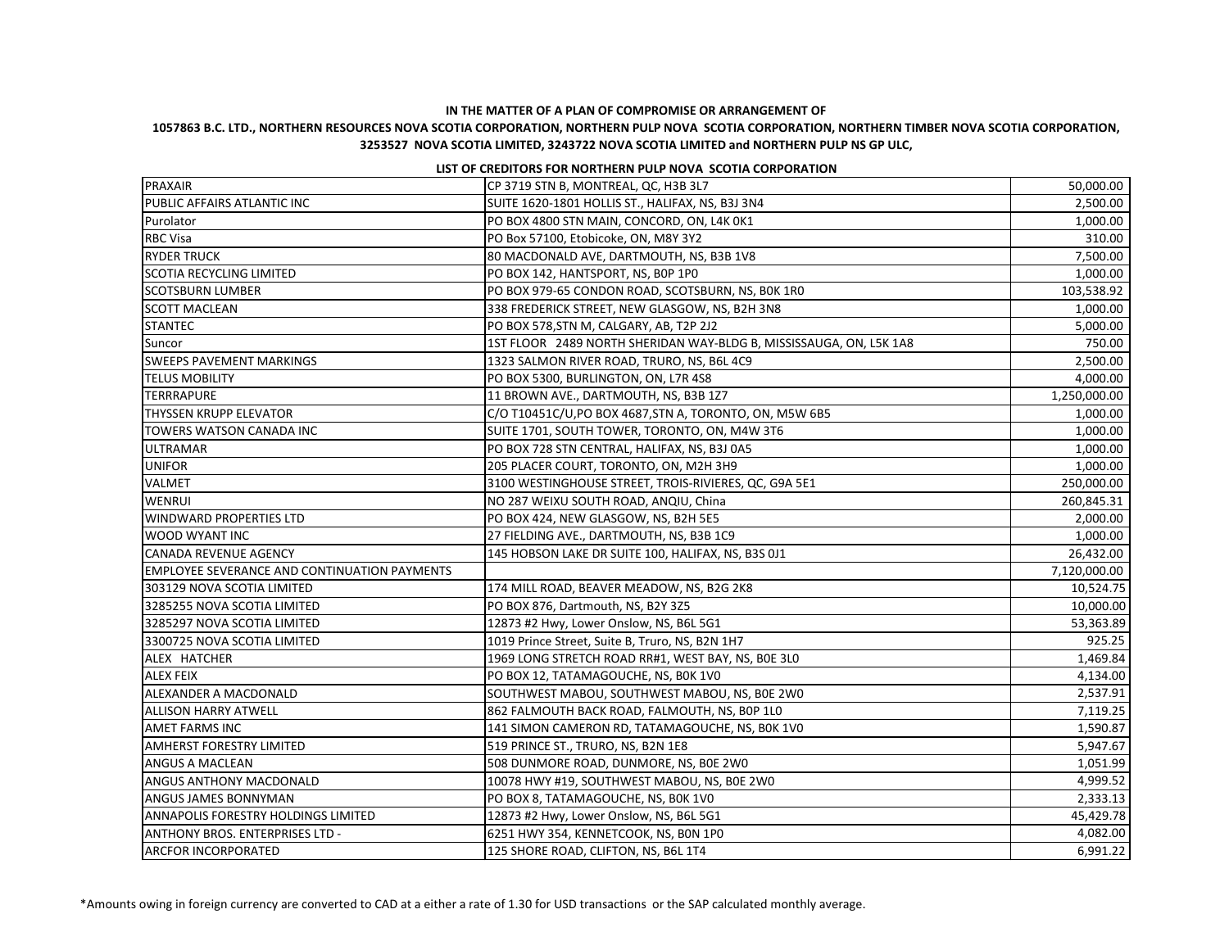## **1057863 B.C. LTD., NORTHERN RESOURCES NOVA SCOTIA CORPORATION, NORTHERN PULP NOVA SCOTIA CORPORATION, NORTHERN TIMBER NOVA SCOTIA CORPORATION, 3253527 NOVA SCOTIA LIMITED, 3243722 NOVA SCOTIA LIMITED and NORTHERN PULP NS GP ULC,**

#### **LIST OF CREDITORS FOR NORTHERN PULP NOVA SCOTIA CORPORATION**

| PRAXAIR                                             | CP 3719 STN B, MONTREAL, QC, H3B 3L7                               | 50,000.00    |
|-----------------------------------------------------|--------------------------------------------------------------------|--------------|
| PUBLIC AFFAIRS ATLANTIC INC                         | SUITE 1620-1801 HOLLIS ST., HALIFAX, NS, B3J 3N4                   | 2,500.00     |
| Purolator                                           | PO BOX 4800 STN MAIN, CONCORD, ON, L4K 0K1                         | 1,000.00     |
| <b>RBC Visa</b>                                     | PO Box 57100, Etobicoke, ON, M8Y 3Y2                               | 310.00       |
| <b>RYDER TRUCK</b>                                  | 80 MACDONALD AVE, DARTMOUTH, NS, B3B 1V8                           | 7,500.00     |
| <b>SCOTIA RECYCLING LIMITED</b>                     | PO BOX 142, HANTSPORT, NS, B0P 1P0                                 | 1,000.00     |
| <b>SCOTSBURN LUMBER</b>                             | PO BOX 979-65 CONDON ROAD, SCOTSBURN, NS, BOK 1RO                  | 103,538.92   |
| <b>SCOTT MACLEAN</b>                                | 338 FREDERICK STREET, NEW GLASGOW, NS, B2H 3N8                     | 1,000.00     |
| <b>STANTEC</b>                                      | PO BOX 578, STN M, CALGARY, AB, T2P 2J2                            | 5,000.00     |
| Suncor                                              | 1ST FLOOR 2489 NORTH SHERIDAN WAY-BLDG B, MISSISSAUGA, ON, L5K 1A8 | 750.00       |
| <b>SWEEPS PAVEMENT MARKINGS</b>                     | 1323 SALMON RIVER ROAD, TRURO, NS, B6L 4C9                         | 2,500.00     |
| <b>TELUS MOBILITY</b>                               | PO BOX 5300, BURLINGTON, ON, L7R 4S8                               | 4,000.00     |
| TERRRAPURE                                          | 11 BROWN AVE., DARTMOUTH, NS, B3B 1Z7                              | 1,250,000.00 |
| THYSSEN KRUPP ELEVATOR                              | C/O T10451C/U,PO BOX 4687,STN A, TORONTO, ON, M5W 6B5              | 1,000.00     |
| TOWERS WATSON CANADA INC                            | SUITE 1701, SOUTH TOWER, TORONTO, ON, M4W 3T6                      | 1,000.00     |
| <b>ULTRAMAR</b>                                     | PO BOX 728 STN CENTRAL, HALIFAX, NS, B3J 0A5                       | 1,000.00     |
| <b>UNIFOR</b>                                       | 205 PLACER COURT, TORONTO, ON, M2H 3H9                             | 1,000.00     |
| VALMET                                              | 3100 WESTINGHOUSE STREET, TROIS-RIVIERES, QC, G9A 5E1              | 250,000.00   |
| <b>WENRUI</b>                                       | NO 287 WEIXU SOUTH ROAD, ANQIU, China                              | 260,845.31   |
| <b>WINDWARD PROPERTIES LTD</b>                      | PO BOX 424, NEW GLASGOW, NS, B2H 5E5                               | 2,000.00     |
| <b>WOOD WYANT INC</b>                               | 27 FIELDING AVE., DARTMOUTH, NS, B3B 1C9                           | 1,000.00     |
| <b>CANADA REVENUE AGENCY</b>                        | 145 HOBSON LAKE DR SUITE 100, HALIFAX, NS, B3S 0J1                 | 26,432.00    |
| <b>EMPLOYEE SEVERANCE AND CONTINUATION PAYMENTS</b> |                                                                    | 7,120,000.00 |
| 303129 NOVA SCOTIA LIMITED                          | 174 MILL ROAD, BEAVER MEADOW, NS, B2G 2K8                          | 10,524.75    |
| 3285255 NOVA SCOTIA LIMITED                         | PO BOX 876, Dartmouth, NS, B2Y 3Z5                                 | 10,000.00    |
| 3285297 NOVA SCOTIA LIMITED                         | 12873 #2 Hwy, Lower Onslow, NS, B6L 5G1                            | 53,363.89    |
| 3300725 NOVA SCOTIA LIMITED                         | 1019 Prince Street, Suite B, Truro, NS, B2N 1H7                    | 925.25       |
| ALEX HATCHER                                        | 1969 LONG STRETCH ROAD RR#1, WEST BAY, NS, BOE 3LO                 | 1,469.84     |
| <b>ALEX FEIX</b>                                    | PO BOX 12, TATAMAGOUCHE, NS, BOK 1VO                               | 4,134.00     |
| ALEXANDER A MACDONALD                               | SOUTHWEST MABOU, SOUTHWEST MABOU, NS, BOE 2W0                      | 2,537.91     |
| <b>ALLISON HARRY ATWELL</b>                         | 862 FALMOUTH BACK ROAD, FALMOUTH, NS, B0P 1L0                      | 7,119.25     |
| AMET FARMS INC                                      | 141 SIMON CAMERON RD, TATAMAGOUCHE, NS, BOK 1VO                    | 1,590.87     |
| <b>AMHERST FORESTRY LIMITED</b>                     | 519 PRINCE ST., TRURO, NS, B2N 1E8                                 | 5,947.67     |
| <b>ANGUS A MACLEAN</b>                              | 508 DUNMORE ROAD, DUNMORE, NS, BOE 2WO                             | 1,051.99     |
| <b>ANGUS ANTHONY MACDONALD</b>                      | 10078 HWY #19, SOUTHWEST MABOU, NS, BOE 2WO                        | 4,999.52     |
| <b>ANGUS JAMES BONNYMAN</b>                         | PO BOX 8, TATAMAGOUCHE, NS, BOK 1VO                                | 2,333.13     |
| <b>ANNAPOLIS FORESTRY HOLDINGS LIMITED</b>          | 12873 #2 Hwy, Lower Onslow, NS, B6L 5G1                            | 45,429.78    |
| <b>ANTHONY BROS. ENTERPRISES LTD -</b>              | 6251 HWY 354, KENNETCOOK, NS, BON 1PO                              | 4,082.00     |
| <b>ARCFOR INCORPORATED</b>                          | 125 SHORE ROAD, CLIFTON, NS, B6L 1T4                               | 6,991.22     |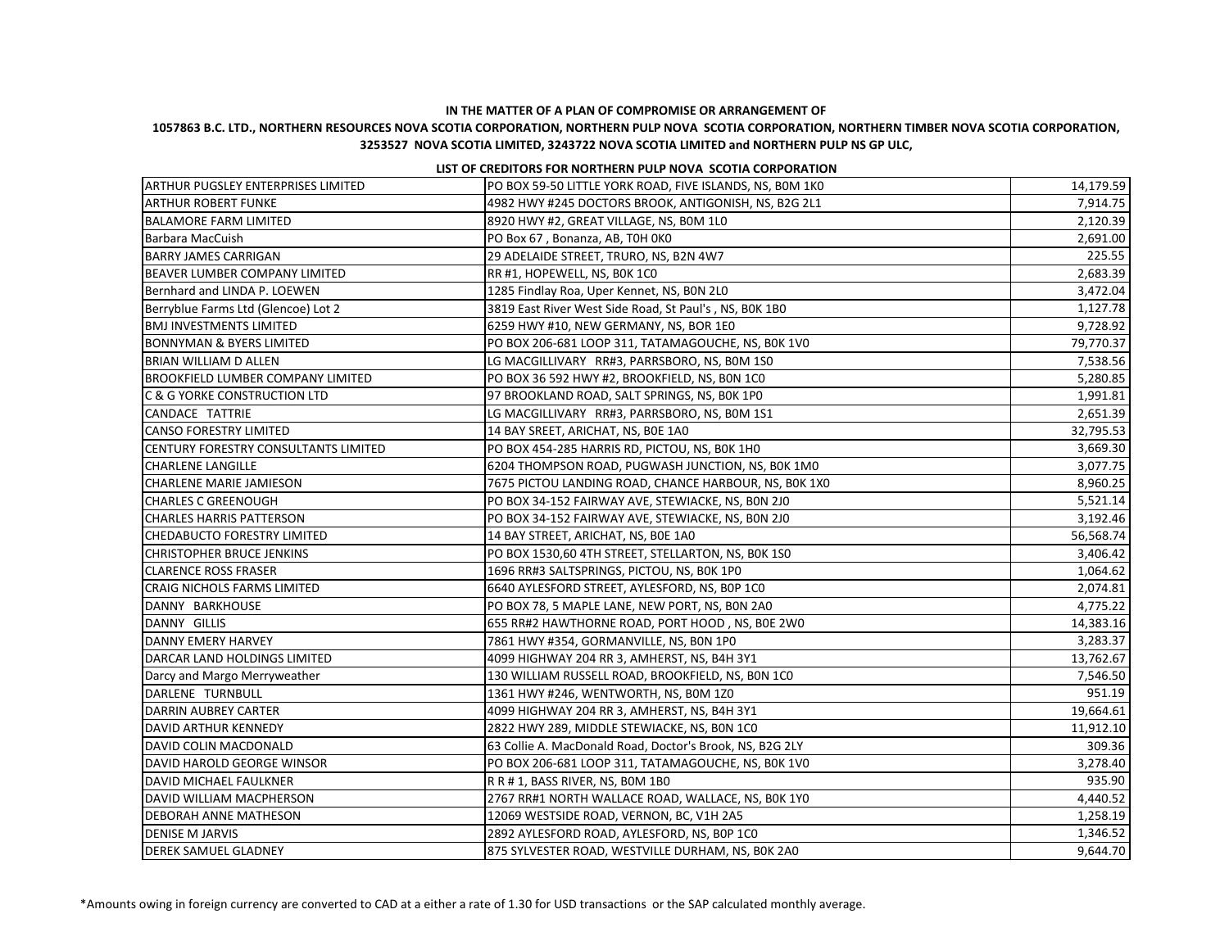## **1057863 B.C. LTD., NORTHERN RESOURCES NOVA SCOTIA CORPORATION, NORTHERN PULP NOVA SCOTIA CORPORATION, NORTHERN TIMBER NOVA SCOTIA CORPORATION, 3253527 NOVA SCOTIA LIMITED, 3243722 NOVA SCOTIA LIMITED and NORTHERN PULP NS GP ULC,**

#### **LIST OF CREDITORS FOR NORTHERN PULP NOVA SCOTIA CORPORATION**

| <b>ARTHUR PUGSLEY ENTERPRISES LIMITED</b>   | PO BOX 59-50 LITTLE YORK ROAD, FIVE ISLANDS, NS, BOM 1KO | 14,179.59 |
|---------------------------------------------|----------------------------------------------------------|-----------|
| <b>ARTHUR ROBERT FUNKE</b>                  | 4982 HWY #245 DOCTORS BROOK, ANTIGONISH, NS, B2G 2L1     | 7,914.75  |
| <b>BALAMORE FARM LIMITED</b>                | 8920 HWY #2, GREAT VILLAGE, NS, BOM 1L0                  | 2,120.39  |
| Barbara MacCuish                            | PO Box 67, Bonanza, AB, T0H 0K0                          | 2,691.00  |
| <b>BARRY JAMES CARRIGAN</b>                 | 29 ADELAIDE STREET, TRURO, NS, B2N 4W7                   | 225.55    |
| <b>BEAVER LUMBER COMPANY LIMITED</b>        | RR #1, HOPEWELL, NS, BOK 1CO                             | 2,683.39  |
| Bernhard and LINDA P. LOEWEN                | 1285 Findlay Roa, Uper Kennet, NS, BON 2LO               | 3,472.04  |
| Berryblue Farms Ltd (Glencoe) Lot 2         | 3819 East River West Side Road, St Paul's, NS, BOK 1BO   | 1,127.78  |
| <b>BMJ INVESTMENTS LIMITED</b>              | 6259 HWY #10, NEW GERMANY, NS, BOR 1E0                   | 9,728.92  |
| <b>BONNYMAN &amp; BYERS LIMITED</b>         | PO BOX 206-681 LOOP 311, TATAMAGOUCHE, NS, BOK 1VO       | 79,770.37 |
| <b>BRIAN WILLIAM D ALLEN</b>                | LG MACGILLIVARY RR#3, PARRSBORO, NS, BOM 1SO             | 7,538.56  |
| <b>BROOKFIELD LUMBER COMPANY LIMITED</b>    | PO BOX 36 592 HWY #2, BROOKFIELD, NS, BON 1CO            | 5,280.85  |
| C & G YORKE CONSTRUCTION LTD                | 97 BROOKLAND ROAD, SALT SPRINGS, NS, BOK 1PO             | 1,991.81  |
| CANDACE TATTRIE                             | LG MACGILLIVARY RR#3, PARRSBORO, NS, BOM 1S1             | 2,651.39  |
| <b>CANSO FORESTRY LIMITED</b>               | 14 BAY SREET, ARICHAT, NS, BOE 1AO                       | 32,795.53 |
| <b>CENTURY FORESTRY CONSULTANTS LIMITED</b> | PO BOX 454-285 HARRIS RD, PICTOU, NS, BOK 1HO            | 3,669.30  |
| <b>CHARLENE LANGILLE</b>                    | 6204 THOMPSON ROAD, PUGWASH JUNCTION, NS, BOK 1MO        | 3,077.75  |
| <b>CHARLENE MARIE JAMIESON</b>              | 7675 PICTOU LANDING ROAD, CHANCE HARBOUR, NS, BOK 1X0    | 8,960.25  |
| <b>CHARLES C GREENOUGH</b>                  | PO BOX 34-152 FAIRWAY AVE, STEWIACKE, NS, BON 2J0        | 5,521.14  |
| <b>CHARLES HARRIS PATTERSON</b>             | PO BOX 34-152 FAIRWAY AVE, STEWIACKE, NS, BON 2J0        | 3,192.46  |
| <b>CHEDABUCTO FORESTRY LIMITED</b>          | 14 BAY STREET, ARICHAT, NS, BOE 1A0                      | 56,568.74 |
| <b>CHRISTOPHER BRUCE JENKINS</b>            | PO BOX 1530,60 4TH STREET, STELLARTON, NS, BOK 1SO       | 3,406.42  |
| <b>CLARENCE ROSS FRASER</b>                 | 1696 RR#3 SALTSPRINGS, PICTOU, NS, BOK 1PO               | 1,064.62  |
| <b>CRAIG NICHOLS FARMS LIMITED</b>          | 6640 AYLESFORD STREET, AYLESFORD, NS, BOP 1CO            | 2,074.81  |
| DANNY BARKHOUSE                             | PO BOX 78, 5 MAPLE LANE, NEW PORT, NS, BON 2A0           | 4,775.22  |
| DANNY GILLIS                                | 655 RR#2 HAWTHORNE ROAD, PORT HOOD, NS, BOE 2W0          | 14,383.16 |
| DANNY EMERY HARVEY                          | 7861 HWY #354, GORMANVILLE, NS, BON 1PO                  | 3,283.37  |
| DARCAR LAND HOLDINGS LIMITED                | 4099 HIGHWAY 204 RR 3, AMHERST, NS, B4H 3Y1              | 13,762.67 |
| Darcy and Margo Merryweather                | 130 WILLIAM RUSSELL ROAD, BROOKFIELD, NS, BON 1CO        | 7,546.50  |
| DARLENE TURNBULL                            | 1361 HWY #246, WENTWORTH, NS, BOM 1Z0                    | 951.19    |
| DARRIN AUBREY CARTER                        | 4099 HIGHWAY 204 RR 3, AMHERST, NS, B4H 3Y1              | 19,664.61 |
| <b>DAVID ARTHUR KENNEDY</b>                 | 2822 HWY 289, MIDDLE STEWIACKE, NS, BON 1CO              | 11,912.10 |
| DAVID COLIN MACDONALD                       | 63 Collie A. MacDonald Road, Doctor's Brook, NS, B2G 2LY | 309.36    |
| DAVID HAROLD GEORGE WINSOR                  | PO BOX 206-681 LOOP 311, TATAMAGOUCHE, NS, BOK 1VO       | 3,278.40  |
| DAVID MICHAEL FAULKNER                      | R R # 1, BASS RIVER, NS, BOM 1BO                         | 935.90    |
| DAVID WILLIAM MACPHERSON                    | 2767 RR#1 NORTH WALLACE ROAD, WALLACE, NS, BOK 1YO       | 4,440.52  |
| <b>DEBORAH ANNE MATHESON</b>                | 12069 WESTSIDE ROAD, VERNON, BC, V1H 2A5                 | 1,258.19  |
| <b>DENISE M JARVIS</b>                      | 2892 AYLESFORD ROAD, AYLESFORD, NS, BOP 1CO              | 1,346.52  |
| <b>DEREK SAMUEL GLADNEY</b>                 | 875 SYLVESTER ROAD, WESTVILLE DURHAM, NS, BOK 2A0        | 9,644.70  |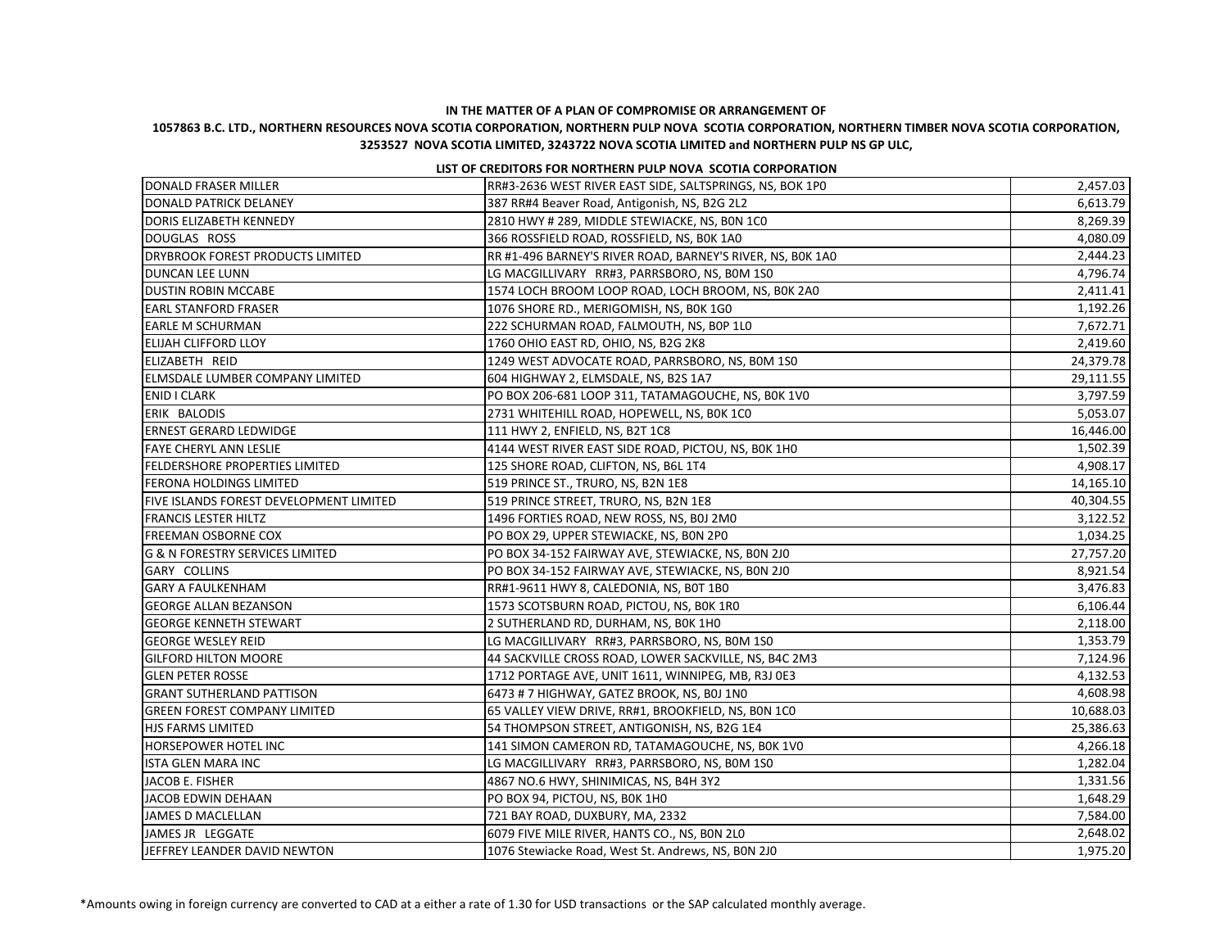## **1057863 B.C. LTD., NORTHERN RESOURCES NOVA SCOTIA CORPORATION, NORTHERN PULP NOVA SCOTIA CORPORATION, NORTHERN TIMBER NOVA SCOTIA CORPORATION, 3253527 NOVA SCOTIA LIMITED, 3243722 NOVA SCOTIA LIMITED and NORTHERN PULP NS GP ULC,**

#### **LIST OF CREDITORS FOR NORTHERN PULP NOVA SCOTIA CORPORATION**

| DONALD FRASER MILLER                           | RR#3-2636 WEST RIVER EAST SIDE, SALTSPRINGS, NS, BOK 1P0   | 2,457.03  |
|------------------------------------------------|------------------------------------------------------------|-----------|
| DONALD PATRICK DELANEY                         | 387 RR#4 Beaver Road, Antigonish, NS, B2G 2L2              | 6,613.79  |
| DORIS ELIZABETH KENNEDY                        | 2810 HWY # 289, MIDDLE STEWIACKE, NS, BON 1CO              | 8,269.39  |
| DOUGLAS ROSS                                   | 366 ROSSFIELD ROAD, ROSSFIELD, NS, BOK 1A0                 | 4,080.09  |
| <b>DRYBROOK FOREST PRODUCTS LIMITED</b>        | RR #1-496 BARNEY'S RIVER ROAD, BARNEY'S RIVER, NS, BOK 1A0 | 2,444.23  |
| <b>DUNCAN LEE LUNN</b>                         | LG MACGILLIVARY RR#3, PARRSBORO, NS, BOM 1SO               | 4,796.74  |
| <b>DUSTIN ROBIN MCCABE</b>                     | 1574 LOCH BROOM LOOP ROAD, LOCH BROOM, NS, BOK 2A0         | 2,411.41  |
| <b>EARL STANFORD FRASER</b>                    | 1076 SHORE RD., MERIGOMISH, NS, BOK 1GO                    | 1,192.26  |
| <b>EARLE M SCHURMAN</b>                        | 222 SCHURMAN ROAD, FALMOUTH, NS, B0P 1L0                   | 7,672.71  |
| <b>ELIJAH CLIFFORD LLOY</b>                    | 1760 OHIO EAST RD, OHIO, NS, B2G 2K8                       | 2,419.60  |
| ELIZABETH REID                                 | 1249 WEST ADVOCATE ROAD, PARRSBORO, NS, BOM 1S0            | 24,379.78 |
| ELMSDALE LUMBER COMPANY LIMITED                | 604 HIGHWAY 2, ELMSDALE, NS, B2S 1A7                       | 29,111.55 |
| <b>ENID I CLARK</b>                            | PO BOX 206-681 LOOP 311, TATAMAGOUCHE, NS, BOK 1VO         | 3,797.59  |
| ERIK BALODIS                                   | 2731 WHITEHILL ROAD, HOPEWELL, NS, BOK 1CO                 | 5,053.07  |
| <b>ERNEST GERARD LEDWIDGE</b>                  | 111 HWY 2, ENFIELD, NS, B2T 1C8                            | 16,446.00 |
| <b>FAYE CHERYL ANN LESLIE</b>                  | 4144 WEST RIVER EAST SIDE ROAD, PICTOU, NS, BOK 1HO        | 1,502.39  |
| <b>FELDERSHORE PROPERTIES LIMITED</b>          | 125 SHORE ROAD, CLIFTON, NS, B6L 1T4                       | 4,908.17  |
| <b>FERONA HOLDINGS LIMITED</b>                 | 519 PRINCE ST., TRURO, NS, B2N 1E8                         | 14,165.10 |
| <b>FIVE ISLANDS FOREST DEVELOPMENT LIMITED</b> | 519 PRINCE STREET, TRURO, NS, B2N 1E8                      | 40,304.55 |
| <b>FRANCIS LESTER HILTZ</b>                    | 1496 FORTIES ROAD, NEW ROSS, NS, BOJ 2M0                   | 3,122.52  |
| <b>FREEMAN OSBORNE COX</b>                     | PO BOX 29, UPPER STEWIACKE, NS, BON 2PO                    | 1,034.25  |
| <b>G &amp; N FORESTRY SERVICES LIMITED</b>     | PO BOX 34-152 FAIRWAY AVE, STEWIACKE, NS, BON 2J0          | 27,757.20 |
| GARY COLLINS                                   | PO BOX 34-152 FAIRWAY AVE, STEWIACKE, NS, BON 2J0          | 8,921.54  |
| <b>GARY A FAULKENHAM</b>                       | RR#1-9611 HWY 8, CALEDONIA, NS, BOT 1BO                    | 3,476.83  |
| <b>GEORGE ALLAN BEZANSON</b>                   | 1573 SCOTSBURN ROAD, PICTOU, NS, BOK 1RO                   | 6,106.44  |
| <b>GEORGE KENNETH STEWART</b>                  | 2 SUTHERLAND RD, DURHAM, NS, BOK 1HO                       | 2,118.00  |
| <b>GEORGE WESLEY REID</b>                      | LG MACGILLIVARY RR#3, PARRSBORO, NS, BOM 1SO               | 1,353.79  |
| <b>GILFORD HILTON MOORE</b>                    | 44 SACKVILLE CROSS ROAD, LOWER SACKVILLE, NS, B4C 2M3      | 7,124.96  |
| <b>GLEN PETER ROSSE</b>                        | 1712 PORTAGE AVE, UNIT 1611, WINNIPEG, MB, R3J 0E3         | 4,132.53  |
| <b>GRANT SUTHERLAND PATTISON</b>               | 6473 # 7 HIGHWAY, GATEZ BROOK, NS, BOJ 1N0                 | 4,608.98  |
| <b>GREEN FOREST COMPANY LIMITED</b>            | 65 VALLEY VIEW DRIVE, RR#1, BROOKFIELD, NS, BON 1CO        | 10,688.03 |
| HJS FARMS LIMITED                              | 54 THOMPSON STREET, ANTIGONISH, NS, B2G 1E4                | 25,386.63 |
| <b>HORSEPOWER HOTEL INC</b>                    | 141 SIMON CAMERON RD, TATAMAGOUCHE, NS, BOK 1VO            | 4,266.18  |
| <b>ISTA GLEN MARA INC</b>                      | LG MACGILLIVARY RR#3, PARRSBORO, NS, BOM 1SO               | 1,282.04  |
| JACOB E. FISHER                                | 4867 NO.6 HWY, SHINIMICAS, NS, B4H 3Y2                     | 1,331.56  |
| JACOB EDWIN DEHAAN                             | PO BOX 94, PICTOU, NS, BOK 1HO                             | 1,648.29  |
| JAMES D MACLELLAN                              | 721 BAY ROAD, DUXBURY, MA, 2332                            | 7,584.00  |
| JAMES JR LEGGATE                               | 6079 FIVE MILE RIVER, HANTS CO., NS, BON 2LO               | 2,648.02  |
| JEFFREY LEANDER DAVID NEWTON                   | 1076 Stewiacke Road, West St. Andrews, NS, BON 2J0         | 1,975.20  |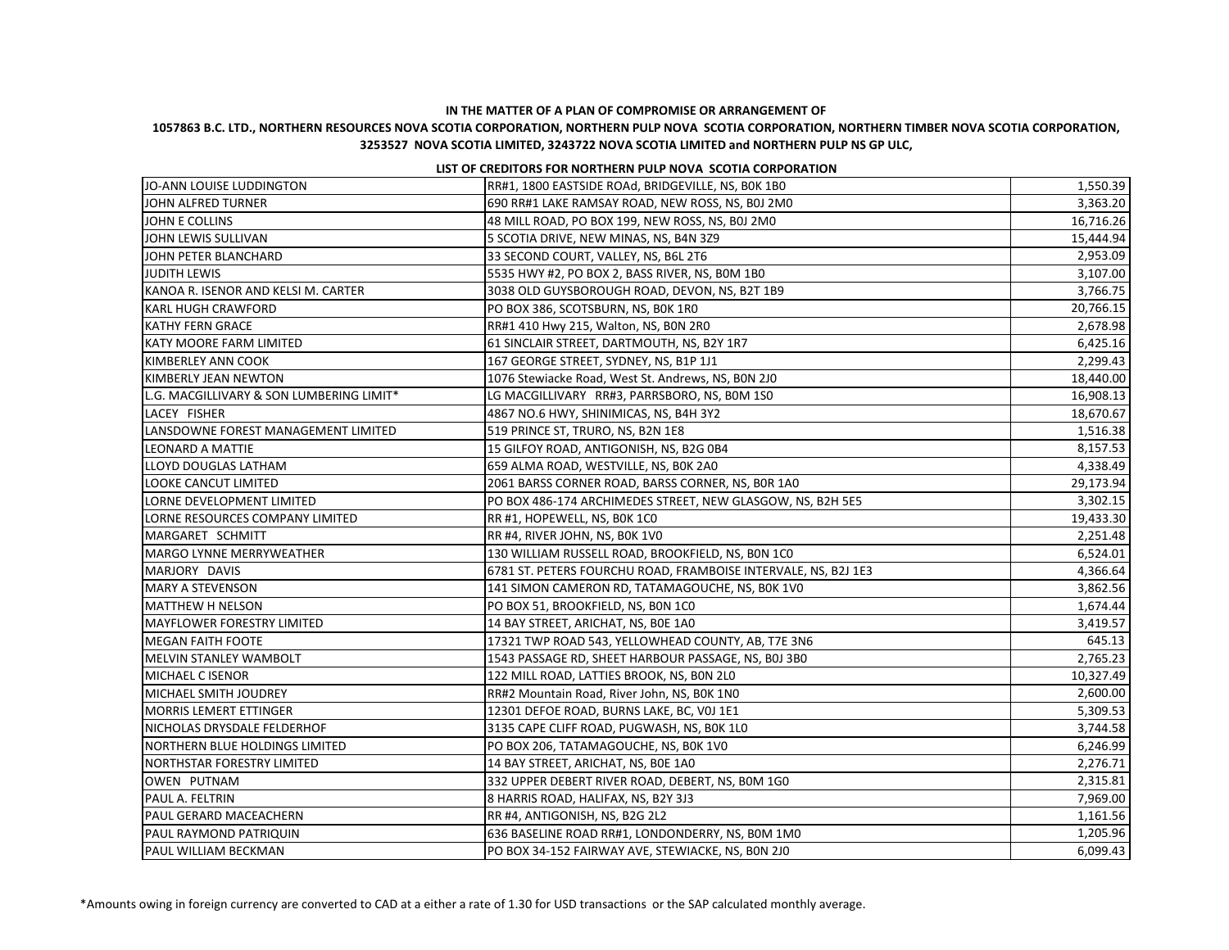## **1057863 B.C. LTD., NORTHERN RESOURCES NOVA SCOTIA CORPORATION, NORTHERN PULP NOVA SCOTIA CORPORATION, NORTHERN TIMBER NOVA SCOTIA CORPORATION, 3253527 NOVA SCOTIA LIMITED, 3243722 NOVA SCOTIA LIMITED and NORTHERN PULP NS GP ULC,**

#### **LIST OF CREDITORS FOR NORTHERN PULP NOVA SCOTIA CORPORATION**

| JO-ANN LOUISE LUDDINGTON                 | RR#1, 1800 EASTSIDE ROAd, BRIDGEVILLE, NS, BOK 1BO             | 1,550.39  |
|------------------------------------------|----------------------------------------------------------------|-----------|
| JOHN ALFRED TURNER                       | 690 RR#1 LAKE RAMSAY ROAD, NEW ROSS, NS, BOJ 2M0               | 3,363.20  |
| JOHN E COLLINS                           | 48 MILL ROAD, PO BOX 199, NEW ROSS, NS, BOJ 2M0                | 16,716.26 |
| JOHN LEWIS SULLIVAN                      | 5 SCOTIA DRIVE, NEW MINAS, NS, B4N 3Z9                         | 15,444.94 |
| JOHN PETER BLANCHARD                     | 33 SECOND COURT, VALLEY, NS, B6L 2T6                           | 2,953.09  |
| <b>JUDITH LEWIS</b>                      | 5535 HWY #2, PO BOX 2, BASS RIVER, NS, BOM 1BO                 | 3,107.00  |
| KANOA R. ISENOR AND KELSI M. CARTER      | 3038 OLD GUYSBOROUGH ROAD, DEVON, NS, B2T 1B9                  | 3,766.75  |
| <b>KARL HUGH CRAWFORD</b>                | PO BOX 386, SCOTSBURN, NS, BOK 1RO                             | 20,766.15 |
| <b>KATHY FERN GRACE</b>                  | RR#1 410 Hwy 215, Walton, NS, BON 2RO                          | 2,678.98  |
| <b>KATY MOORE FARM LIMITED</b>           | 61 SINCLAIR STREET, DARTMOUTH, NS, B2Y 1R7                     | 6,425.16  |
| KIMBERLEY ANN COOK                       | 167 GEORGE STREET, SYDNEY, NS, B1P 1J1                         | 2,299.43  |
| KIMBERLY JEAN NEWTON                     | 1076 Stewiacke Road, West St. Andrews, NS, BON 2J0             | 18,440.00 |
| L.G. MACGILLIVARY & SON LUMBERING LIMIT* | LG MACGILLIVARY RR#3, PARRSBORO, NS, BOM 1S0                   | 16,908.13 |
| LACEY FISHER                             | 4867 NO.6 HWY, SHINIMICAS, NS, B4H 3Y2                         | 18,670.67 |
| LANSDOWNE FOREST MANAGEMENT LIMITED      | 519 PRINCE ST, TRURO, NS, B2N 1E8                              | 1,516.38  |
| <b>LEONARD A MATTIE</b>                  | 15 GILFOY ROAD, ANTIGONISH, NS, B2G 0B4                        | 8,157.53  |
| LLOYD DOUGLAS LATHAM                     | 659 ALMA ROAD, WESTVILLE, NS, BOK 2A0                          | 4,338.49  |
| <b>LOOKE CANCUT LIMITED</b>              | 2061 BARSS CORNER ROAD, BARSS CORNER, NS, BOR 1A0              | 29,173.94 |
| LORNE DEVELOPMENT LIMITED                | PO BOX 486-174 ARCHIMEDES STREET, NEW GLASGOW, NS, B2H 5E5     | 3,302.15  |
| LORNE RESOURCES COMPANY LIMITED          | RR #1, HOPEWELL, NS, BOK 1CO                                   | 19,433.30 |
| MARGARET SCHMITT                         | RR #4, RIVER JOHN, NS, BOK 1VO                                 | 2,251.48  |
| MARGO LYNNE MERRYWEATHER                 | 130 WILLIAM RUSSELL ROAD, BROOKFIELD, NS, BON 1CO              | 6,524.01  |
| MARJORY DAVIS                            | 6781 ST. PETERS FOURCHU ROAD, FRAMBOISE INTERVALE, NS, B2J 1E3 | 4,366.64  |
| MARY A STEVENSON                         | 141 SIMON CAMERON RD, TATAMAGOUCHE, NS, BOK 1VO                | 3,862.56  |
| MATTHEW H NELSON                         | PO BOX 51, BROOKFIELD, NS, BON 1CO                             | 1,674.44  |
| MAYFLOWER FORESTRY LIMITED               | 14 BAY STREET, ARICHAT, NS, BOE 1AO                            | 3,419.57  |
| <b>MEGAN FAITH FOOTE</b>                 | 17321 TWP ROAD 543, YELLOWHEAD COUNTY, AB, T7E 3N6             | 645.13    |
| MELVIN STANLEY WAMBOLT                   | 1543 PASSAGE RD, SHEET HARBOUR PASSAGE, NS, B0J 3B0            | 2,765.23  |
| MICHAEL C ISENOR                         | 122 MILL ROAD, LATTIES BROOK, NS, BON 2L0                      | 10,327.49 |
| MICHAEL SMITH JOUDREY                    | RR#2 Mountain Road, River John, NS, BOK 1NO                    | 2,600.00  |
| <b>MORRIS LEMERT ETTINGER</b>            | 12301 DEFOE ROAD, BURNS LAKE, BC, VOJ 1E1                      | 5,309.53  |
| NICHOLAS DRYSDALE FELDERHOF              | 3135 CAPE CLIFF ROAD, PUGWASH, NS, BOK 1L0                     | 3,744.58  |
| NORTHERN BLUE HOLDINGS LIMITED           | PO BOX 206, TATAMAGOUCHE, NS, BOK 1VO                          | 6,246.99  |
| <b>INORTHSTAR FORESTRY LIMITED</b>       | 14 BAY STREET, ARICHAT, NS, BOE 1AO                            | 2,276.71  |
| <b>JOWEN PUTNAM</b>                      | 332 UPPER DEBERT RIVER ROAD, DEBERT, NS, BOM 1GO               | 2,315.81  |
| PAUL A. FELTRIN                          | 8 HARRIS ROAD, HALIFAX, NS, B2Y 3J3                            | 7,969.00  |
| <b>PAUL GERARD MACEACHERN</b>            | RR #4, ANTIGONISH, NS, B2G 2L2                                 | 1,161.56  |
| PAUL RAYMOND PATRIQUIN                   | 636 BASELINE ROAD RR#1, LONDONDERRY, NS, BOM 1M0               | 1,205.96  |
| <b>PAUL WILLIAM BECKMAN</b>              | PO BOX 34-152 FAIRWAY AVE, STEWIACKE, NS, BON 2J0              | 6,099.43  |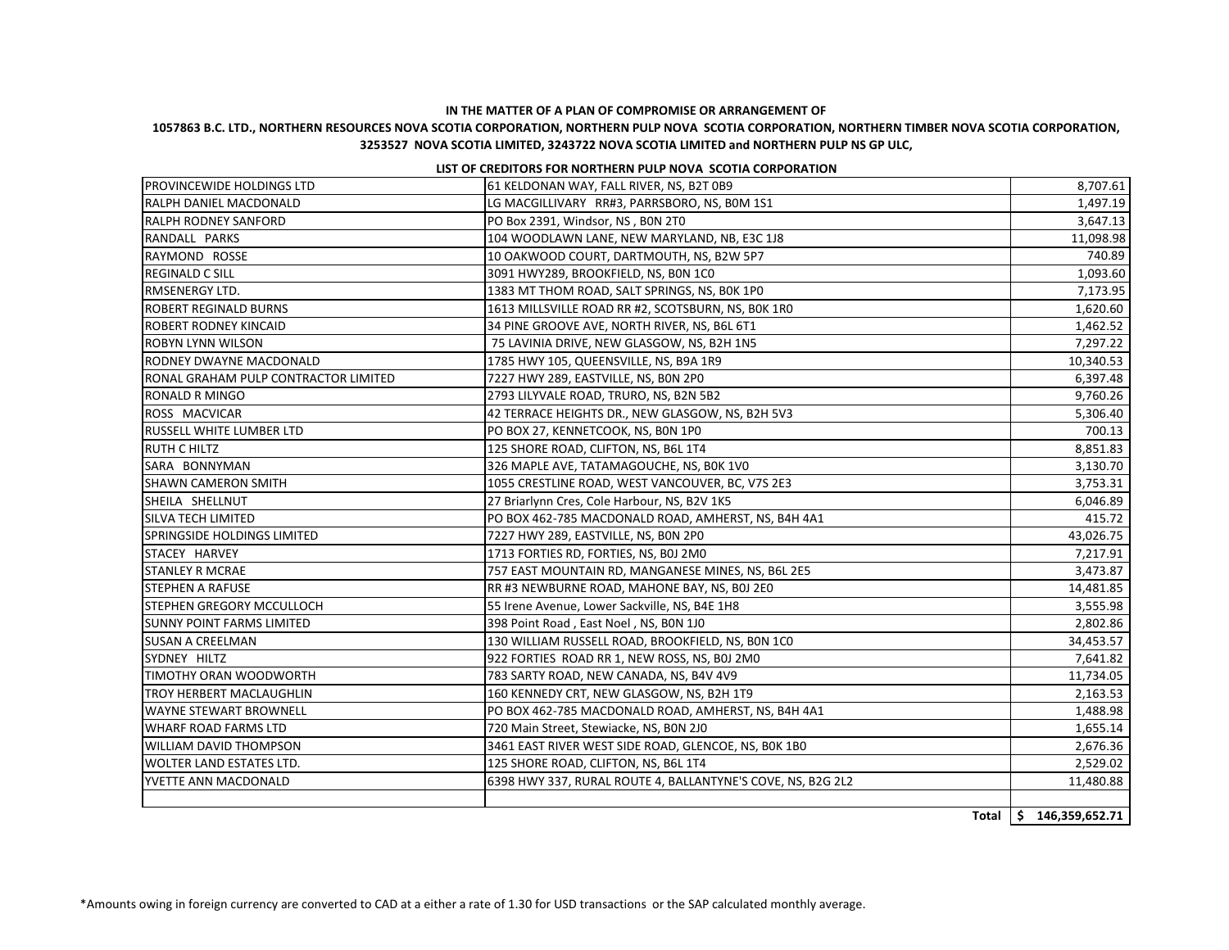## **1057863 B.C. LTD., NORTHERN RESOURCES NOVA SCOTIA CORPORATION, NORTHERN PULP NOVA SCOTIA CORPORATION, NORTHERN TIMBER NOVA SCOTIA CORPORATION, 3253527 NOVA SCOTIA LIMITED, 3243722 NOVA SCOTIA LIMITED and NORTHERN PULP NS GP ULC,**

#### **LIST OF CREDITORS FOR NORTHERN PULP NOVA SCOTIA CORPORATION**

| <b>PROVINCEWIDE HOLDINGS LTD</b>     | 61 KELDONAN WAY, FALL RIVER, NS, B2T 0B9                    | 8,707.61         |
|--------------------------------------|-------------------------------------------------------------|------------------|
| <b>RALPH DANIEL MACDONALD</b>        | LG MACGILLIVARY RR#3, PARRSBORO, NS, BOM 1S1                | 1,497.19         |
| <b>RALPH RODNEY SANFORD</b>          | PO Box 2391, Windsor, NS, BON 2TO                           | 3,647.13         |
| RANDALL PARKS                        | 104 WOODLAWN LANE, NEW MARYLAND, NB, E3C 1J8                | 11,098.98        |
| RAYMOND ROSSE                        | 10 OAKWOOD COURT, DARTMOUTH, NS, B2W 5P7                    | 740.89           |
| <b>REGINALD C SILL</b>               | 3091 HWY289, BROOKFIELD, NS, BON 1CO                        | 1,093.60         |
| RMSENERGY LTD.                       | 1383 MT THOM ROAD, SALT SPRINGS, NS, BOK 1PO                | 7,173.95         |
| <b>ROBERT REGINALD BURNS</b>         | 1613 MILLSVILLE ROAD RR #2, SCOTSBURN, NS, BOK 1RO          | 1,620.60         |
| <b>ROBERT RODNEY KINCAID</b>         | 34 PINE GROOVE AVE, NORTH RIVER, NS, B6L 6T1                | 1,462.52         |
| <b>ROBYN LYNN WILSON</b>             | 75 LAVINIA DRIVE, NEW GLASGOW, NS, B2H 1N5                  | 7,297.22         |
| <b>RODNEY DWAYNE MACDONALD</b>       | 1785 HWY 105, QUEENSVILLE, NS, B9A 1R9                      | 10,340.53        |
| RONAL GRAHAM PULP CONTRACTOR LIMITED | 7227 HWY 289, EASTVILLE, NS, BON 2PO                        | 6,397.48         |
| <b>RONALD R MINGO</b>                | 2793 LILYVALE ROAD, TRURO, NS, B2N 5B2                      | 9,760.26         |
| ROSS MACVICAR                        | 42 TERRACE HEIGHTS DR., NEW GLASGOW, NS, B2H 5V3            | 5,306.40         |
| <b>RUSSELL WHITE LUMBER LTD</b>      | PO BOX 27, KENNETCOOK, NS, BON 1PO                          | 700.13           |
| <b>RUTH C HILTZ</b>                  | 125 SHORE ROAD, CLIFTON, NS, B6L 1T4                        | 8,851.83         |
| SARA BONNYMAN                        | 326 MAPLE AVE, TATAMAGOUCHE, NS, BOK 1VO                    | 3,130.70         |
| <b>SHAWN CAMERON SMITH</b>           | 1055 CRESTLINE ROAD, WEST VANCOUVER, BC, V7S 2E3            | 3,753.31         |
| SHEILA SHELLNUT                      | 27 Briarlynn Cres, Cole Harbour, NS, B2V 1K5                | 6,046.89         |
| <b>SILVA TECH LIMITED</b>            | PO BOX 462-785 MACDONALD ROAD, AMHERST, NS, B4H 4A1         | 415.72           |
| <b>SPRINGSIDE HOLDINGS LIMITED</b>   | 7227 HWY 289, EASTVILLE, NS, BON 2PO                        | 43,026.75        |
| STACEY HARVEY                        | 1713 FORTIES RD, FORTIES, NS, BOJ 2M0                       | 7,217.91         |
| <b>STANLEY R MCRAE</b>               | 757 EAST MOUNTAIN RD, MANGANESE MINES, NS, B6L 2E5          | 3,473.87         |
| <b>STEPHEN A RAFUSE</b>              | RR #3 NEWBURNE ROAD, MAHONE BAY, NS, BOJ 2E0                | 14,481.85        |
| <b>STEPHEN GREGORY MCCULLOCH</b>     | 55 Irene Avenue, Lower Sackville, NS, B4E 1H8               | 3,555.98         |
| <b>SUNNY POINT FARMS LIMITED</b>     | 398 Point Road, East Noel, NS, BON 1JO                      | 2,802.86         |
| <b>SUSAN A CREELMAN</b>              | 130 WILLIAM RUSSELL ROAD, BROOKFIELD, NS, BON 1CO           | 34,453.57        |
| SYDNEY HILTZ                         | 922 FORTIES ROAD RR 1, NEW ROSS, NS, BOJ 2MO                | 7,641.82         |
| TIMOTHY ORAN WOODWORTH               | 783 SARTY ROAD, NEW CANADA, NS, B4V 4V9                     | 11,734.05        |
| TROY HERBERT MACLAUGHLIN             | 160 KENNEDY CRT, NEW GLASGOW, NS, B2H 1T9                   | 2,163.53         |
| <b>WAYNE STEWART BROWNELL</b>        | PO BOX 462-785 MACDONALD ROAD, AMHERST, NS, B4H 4A1         | 1,488.98         |
| WHARF ROAD FARMS LTD                 | 720 Main Street, Stewiacke, NS, BON 2J0                     | 1,655.14         |
| <b>WILLIAM DAVID THOMPSON</b>        | 3461 EAST RIVER WEST SIDE ROAD, GLENCOE, NS, BOK 1BO        | 2,676.36         |
| <b>WOLTER LAND ESTATES LTD.</b>      | 125 SHORE ROAD, CLIFTON, NS, B6L 1T4                        | 2,529.02         |
| <b>YVETTE ANN MACDONALD</b>          | 6398 HWY 337, RURAL ROUTE 4, BALLANTYNE'S COVE, NS, B2G 2L2 | 11,480.88        |
|                                      |                                                             |                  |
|                                      | Total                                                       | \$146,359,652.71 |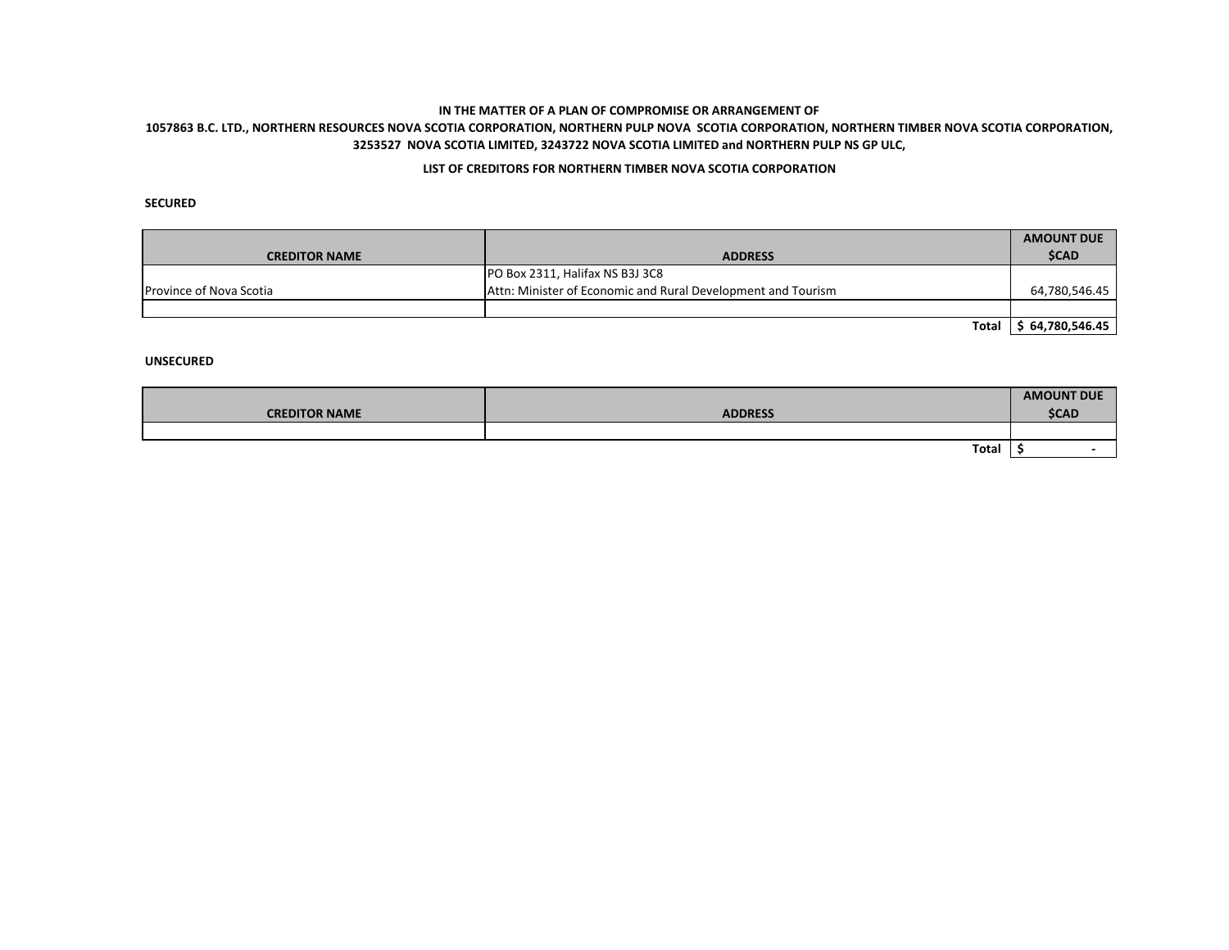# **1057863 B.C. LTD., NORTHERN RESOURCES NOVA SCOTIA CORPORATION, NORTHERN PULP NOVA SCOTIA CORPORATION, NORTHERN TIMBER NOVA SCOTIA CORPORATION, 3253527 NOVA SCOTIA LIMITED, 3243722 NOVA SCOTIA LIMITED and NORTHERN PULP NS GP ULC,**

## **LIST OF CREDITORS FOR NORTHERN TIMBER NOVA SCOTIA CORPORATION**

**SECURED**

|                                |                                                              | <b>AMOUNT DUE</b> |
|--------------------------------|--------------------------------------------------------------|-------------------|
| <b>CREDITOR NAME</b>           | <b>ADDRESS</b>                                               | <b>\$CAD</b>      |
|                                | PO Box 2311, Halifax NS B3J 3C8                              |                   |
| <b>Province of Nova Scotia</b> | Attn: Minister of Economic and Rural Development and Tourism | 64,780,546.45     |
|                                |                                                              |                   |
|                                | <b>Total</b>                                                 | \$64,780,546.45   |

|                      |                | <b>AMOUNT DUE</b> |
|----------------------|----------------|-------------------|
| <b>CREDITOR NAME</b> | <b>ADDRESS</b> | <b>\$CAD</b>      |
|                      |                |                   |
|                      | Total          |                   |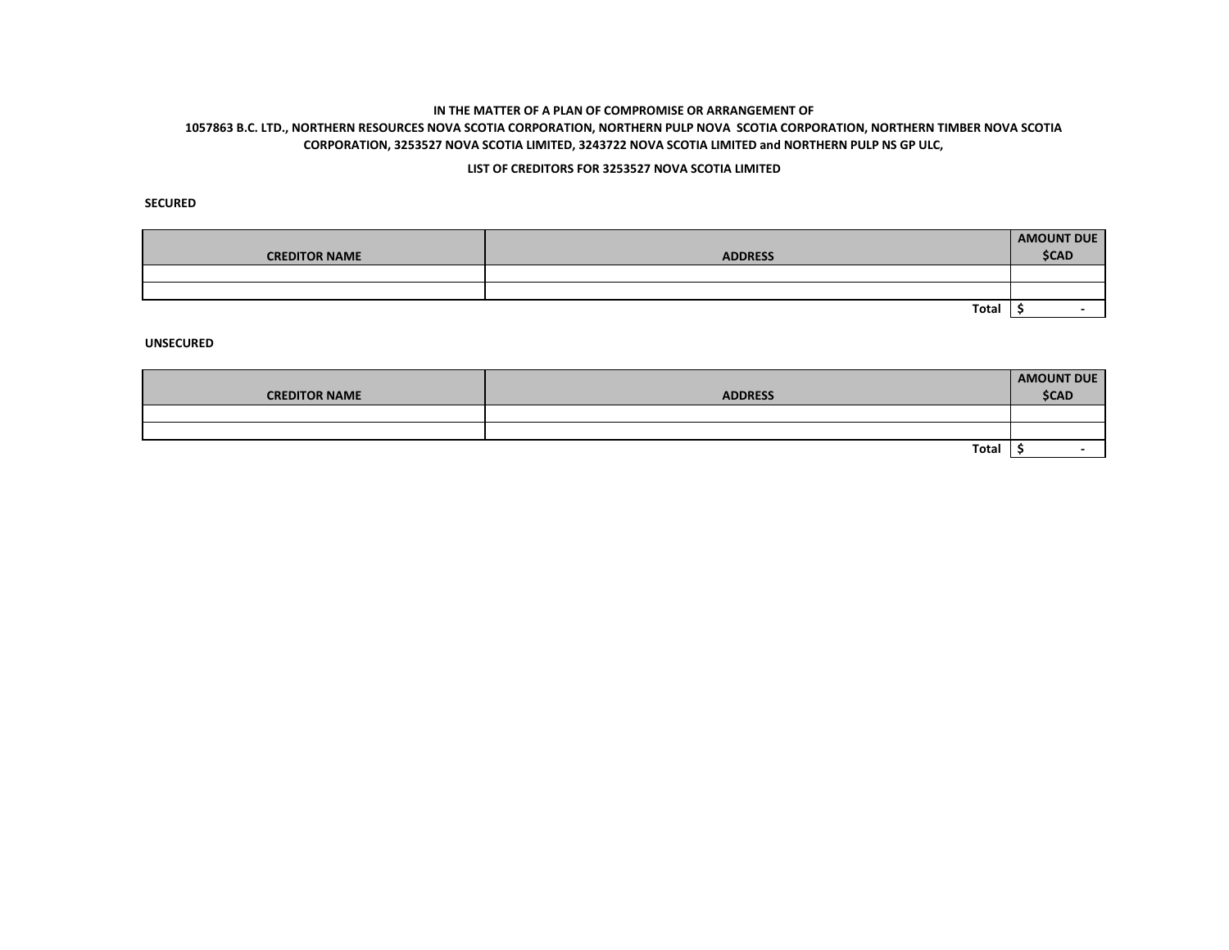# **1057863 B.C. LTD., NORTHERN RESOURCES NOVA SCOTIA CORPORATION, NORTHERN PULP NOVA SCOTIA CORPORATION, NORTHERN TIMBER NOVA SCOTIA CORPORATION, 3253527 NOVA SCOTIA LIMITED, 3243722 NOVA SCOTIA LIMITED and NORTHERN PULP NS GP ULC,**

### **LIST OF CREDITORS FOR 3253527 NOVA SCOTIA LIMITED**

**SECURED**

| <b>CREDITOR NAME</b> | <b>ADDRESS</b> | <b>AMOUNT DUE</b><br><b>\$CAD</b> |
|----------------------|----------------|-----------------------------------|
|                      |                |                                   |
|                      |                |                                   |
|                      | Total          |                                   |

| <b>CREDITOR NAME</b> | <b>ADDRESS</b> | <b>AMOUNT DUE</b><br><b>\$CAD</b> |
|----------------------|----------------|-----------------------------------|
|                      |                |                                   |
|                      |                |                                   |
|                      |                |                                   |
|                      | Total          |                                   |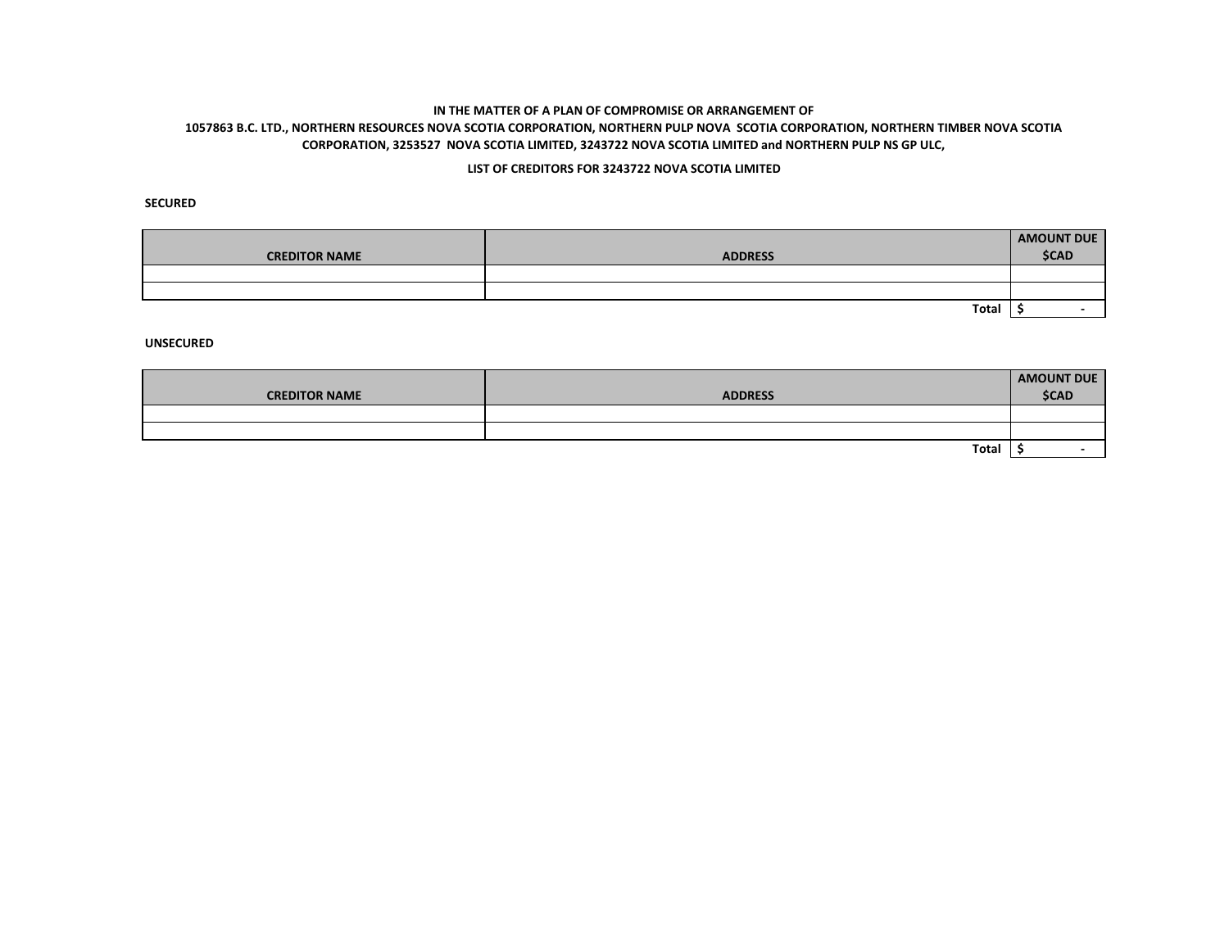# **1057863 B.C. LTD., NORTHERN RESOURCES NOVA SCOTIA CORPORATION, NORTHERN PULP NOVA SCOTIA CORPORATION, NORTHERN TIMBER NOVA SCOTIA CORPORATION, 3253527 NOVA SCOTIA LIMITED, 3243722 NOVA SCOTIA LIMITED and NORTHERN PULP NS GP ULC,**

### **LIST OF CREDITORS FOR 3243722 NOVA SCOTIA LIMITED**

**SECURED**

| <b>CREDITOR NAME</b> | <b>ADDRESS</b> | <b>AMOUNT DUE</b><br><b>\$CAD</b> |
|----------------------|----------------|-----------------------------------|
|                      |                |                                   |
|                      |                |                                   |
|                      | Total          |                                   |

|                      |                | AMOUNT DUE   |
|----------------------|----------------|--------------|
| <b>CREDITOR NAME</b> | <b>ADDRESS</b> | <b>\$CAD</b> |
|                      |                |              |
|                      |                |              |
|                      | Total          |              |